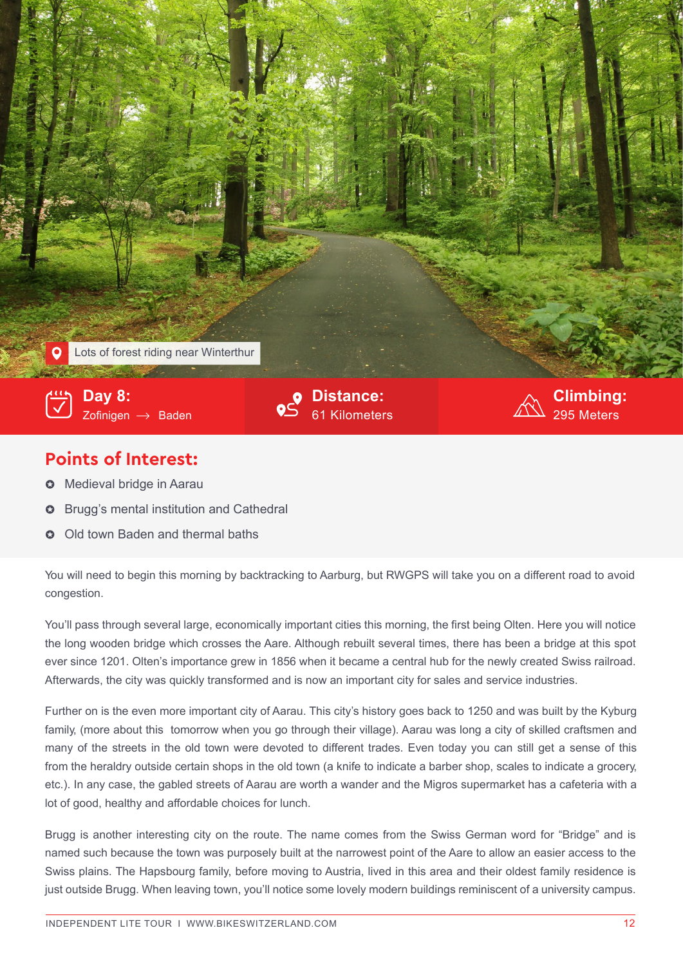

## **Points of Interest:**

- $\bullet$  Medieval bridge in Aarau
- $\bullet~$  Brugg's mental institution and Cathedral
- **O** Old town Baden and thermal baths

congestion. You will need to begin this morning by backtracking to Aarburg, but RWGPS will take you on a different road to avoid

You'll pass through several large, economically important cities this morning, the first being Olten. Here you will notice the long wooden bridge which crosses the Aare. Although rebuilt several times, there has been a bridge at this spot ever since 1201. Olten's importance grew in 1856 when it became a central hub for the newly created Swiss railroad. Afterwards, the city was quickly transformed and is now an important city for sales and service industries.

Further on is the even more important city of Aarau. This city's history goes back to 1250 and was built by the Kyburg family, (more about this tomorrow when you go through their village). Aarau was long a city of skilled craftsmen and many of the streets in the old town were devoted to different trades. Even today you can still get a sense of this from the heraldry outside certain shops in the old town (a knife to indicate a barber shop, scales to indicate a grocery, etc.). In any case, the gabled streets of Aarau are worth a wander and the Migros supermarket has a cafeteria with a lot of good, healthy and affordable choices for lunch.

Brugg is another interesting city on the route. The name comes from the Swiss German word for "Bridge" and is named such because the town was purposely built at the narrowest point of the Aare to allow an easier access to the Swiss plains. The Hapsbourg family, before moving to Austria, lived in this area and their oldest family residence is just outside Brugg. When leaving town, you'll notice some lovely modern buildings reminiscent of a university campus.